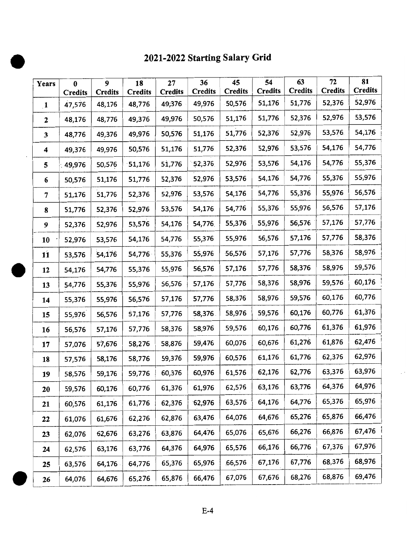## 2021-2022 Starting Salary Grid

| Years            | $\bf{0}$ | 9              | 18             | 27                       | 36                       | 45                       | 54<br><b>Credits</b> | 63<br><b>Credits</b> | 72<br><b>Credits</b> | 81<br><b>Credits</b> |
|------------------|----------|----------------|----------------|--------------------------|--------------------------|--------------------------|----------------------|----------------------|----------------------|----------------------|
|                  | Credits  | <b>Credits</b> | <b>Credits</b> | <b>Credits</b><br>49,376 | <b>Credits</b><br>49,976 | <b>Credits</b><br>50,576 | 51,176               | 51,776               | 52,376               | 52,976               |
| $\mathbf{1}$     | 47,576   | 48,176         | 48,776         |                          |                          |                          |                      |                      |                      |                      |
| $\boldsymbol{2}$ | 48,176   | 48,776         | 49,376         | 49,976                   | 50,576                   | 51,176                   | 51,776               | 52,376               | 52,976               | 53,576               |
| $\mathbf{3}$     | 48,776   | 49,376         | 49,976         | 50,576                   | 51,176                   | 51,776                   | 52,376               | 52,976               | 53,576               | 54,176               |
| 4                | 49,376   | 49,976         | 50,576         | 51,176                   | 51,776                   | 52,376                   | 52,976               | 53,576               | 54,176               | 54,776               |
| 5                | 49,976   | 50,576         | 51,176         | 51,776                   | 52,376                   | 52,976                   | 53,576               | 54,176               | 54,776               | 55,376               |
| 6                | 50,576   | 51,176         | 51,776         | 52,376                   | 52,976                   | 53,576                   | 54,176               | 54,776               | 55,376               | 55,976               |
| 7                | 51,176   | 51,776         | 52,376         | 52,976                   | 53,576                   | 54,176                   | 54,776               | 55,376               | 55,976               | 56,576               |
| 8                | 51,776   | 52,376         | 52,976         | 53,576                   | 54,176                   | 54,776                   | 55,376               | 55,976               | 56,576               | 57,176               |
| 9                | 52,376   | 52,976         | 53,576         | 54,176                   | 54,776.                  | 55,376                   | 55,976               | 56,576               | 57,176               | 57,776               |
| 10               | 52,976   | 53,576         | 54,176         | 54,776                   | 55,376                   | 55,976                   | 56,576               | 57,176               | 57,776               | 58,376               |
| 11               | 53,576   | 54,176         | 54,776         | 55,376                   | 55,976                   | 56,576                   | 57,176               | 57,776               | 58,376               | 58,976               |
| 12               | 54,176   | 54,776         | 55,376         | 55,976                   | 56,576                   | 57,176                   | 57,776               | 58,376               | 58,976               | 59,576               |
| 13               | 54,776   | 55,376         | 55,976         | 56,576                   | 57,176                   | 57,776                   | 58,376               | 58,976               | 59,576               | 60,176               |
| 14               | 55,376   | 55,976         | 56,576         | 57,176                   | 57,776                   | 58,376                   | 58,976               | 59,576               | 60,176               | 60,776               |
| 15               | 55,976   | 56,576         | 57,176         | 57,776                   | 58,376                   | 58,976                   | 59,576               | 60,176               | 60,776               | 61,376               |
| 16               | 56,576   | 57,176         | 57,776         | 58,376                   | 58,976                   | 59,576                   | 60,176               | 60,776               | 61,376               | 61,976               |
| 17               | 57,076   | 57,676         | 58,276         | 58,876                   | 59,476                   | 60,076                   | 60,676               | 61,276               | 61,876               | 62,476               |
| 18               | 57,576   | 58,176         | 58,776         | 59,376                   | 59,976                   | 60,576                   | 61,176               | 61,776               | 62,376               | 62,976               |
| 19               | 58,576   | 59,176         | 59,776         | 60,376                   | 60,976                   | 61,576                   | 62,176               | 62,776               | 63,376               | 63,976               |
| 20               | 59,576   | 60,176         | 60,776         | 61,376                   | 61,976                   | 62,576                   | 63,176               | 63,776               | 64,376               | 64,976               |
| 21               | 60,576   | 61,176         | 61,776         | 62,376                   | 62,976                   | 63,576                   | 64,176               | 64,776               | 65,376               | 65,976               |
| 22               | 61,076   | 61,676         | 62,276         | 62,876                   | 63,476                   | 64,076                   | 64,676               | 65,276               | 65,876               | 66,476               |
| 23               | 62,076   | 62,676         | 63,276         | 63,876                   | 64,476                   | 65,076                   | 65,676               | 66,276               | 66,876               | 67,476               |
| 24               | 62,576   | 63,176         | 63,776         | 64,376                   | 64,976                   | 65,576                   | 66,176               | 66,776               | 67,376               | 67,976               |
| 25               | 63,576   | 64,176         | 64,776         | 65,376                   | 65,976                   | 66,576                   | 67,176               | 67,776               | 68,376               | 68,976               |
| 26               | 64,076   | 64,676         | 65,276         | 65,876                   | 66,476                   | 67,076                   | 67,676               | 68,276               | 68,876               | 69,476               |

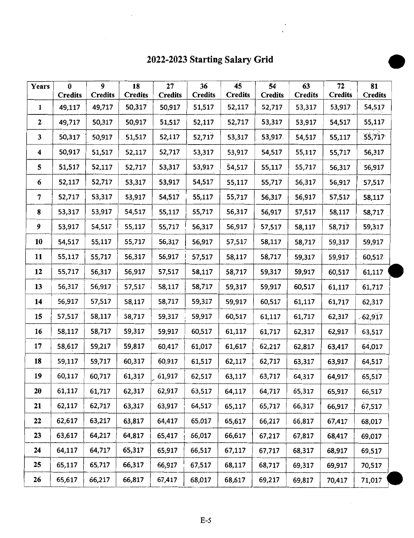## 2022-2023 Starting Salary Grid •

 $\ddot{\phantom{0}}$ 

| Years                   | $\bf{0}$<br><b>Credits</b> | $\boldsymbol{9}$<br><b>Credits</b> | 18<br><b>Credits</b> | 27<br><b>Credits</b> | 36<br><b>Credits</b> | 45<br><b>Credits</b> | 54<br><b>Credits</b> | 63<br><b>Credits</b> | 72<br><b>Credits</b> | 81<br><b>Credits</b> |
|-------------------------|----------------------------|------------------------------------|----------------------|----------------------|----------------------|----------------------|----------------------|----------------------|----------------------|----------------------|
| $\mathbf{1}$            | 49,117                     | 49,717                             | 50,317               | 50,917               | 51,517               | $-52,117$            | 52,717               | 53,317               | 53,917               | 54,517               |
| $\mathbf{2}$            | 49,717                     | 50,317                             | 50,917               | 51,517               | 52,117               | 52,717               | 53,317               | 53,917               | 54,517               | 55,117               |
| 3 <sub>1</sub>          | 50,317                     | 50,917                             | 51,517               | 52,117               | 52,717               | 53,317               | 53,917.              | 54,517               | 55,117               | 55,717               |
| $\overline{\mathbf{4}}$ | 50,917                     | 51,517                             | 52,117               | 52,717               | 53,317               | 53,917               | 54,517               | 55,117               | 55,717               | 56,317               |
| 5                       | 51,517                     | 52,117                             | 52,717               | 53,317               | 53,917               | 54,517               | 55,117               | 55,717               | 56,317               | 56,917               |
| 6                       | 52,117                     | 52,717                             | 53,317               | 53,917               | 54,517               | 55,117               | 55,717               | 56,317               | 56,917               | 57,517               |
| 7                       | 52,717                     | 53,317                             | 53,917               | 54,517               | 55,117               | 55,717               | 56,317               | 56,917               | 57,517               | 58,117               |
| 8                       | 53,317                     | 53,917                             | 54,517               | 55,117               | 55,717               | 56,317               | 56,917               | 57,517               | 58,117               | 58,717               |
| 9                       | 53,917                     | 54,517                             | 55,117               | 55,717               | 56,317               | 56,917               | 57,517               | 58,117               | 58,717               | 59,317               |
| 10                      | 54,517                     | 55,117                             | 55,717               | 56,317               | 56,917               | 57,517               | 58,117               | 58,717               | 59,317               | 59,917               |
| 11                      | 55,117                     | 55,717                             | 56,317               | 56,917               | 57,517               | 58,117               | 58,717               | 59,317               | 59,917               | 60,517               |
| 12                      | 55,717                     | 56,317                             | 56,917               | 57,517               | 58,117               | 58,717               | 59,317               | 59,917               | 60,517               | 61,117               |
| 13                      | 56,317                     | 56,917                             | 57,517               | 58,117               | 58,717               | 59,317               | 59,917               | 60,517               | 61,117               | 61,717               |
| 14                      | 56,917                     | 57,517                             | 58,117               | 58,717               | 59,317               | 59,917               | 60,517               | 61,117               | 61,717               | 62,317               |
| 15                      | 57,517                     | 58,117                             | 58,717               | 59,317               | 59,917               | 60,517               | 61,117               | 61,717               | 62,317               | $-62,917$            |
| 16                      | 58,117                     | 58,717                             | 59,317               | 59,917               | 60,517               | 61,117               | 61,717               | 62,317               | 62,917               | 63,517               |
| 17                      | 58,617                     | 59,217                             | 59,817               | 60,417               | 61,017               | 61,617               | 62,217               | 62,817               | 63,417               | 64,017               |
| 18                      | 59,117                     | 59,717                             | 60,317               | 60,917               | 61,517               | 62,117               | 62,717               | 63,317               | 63,917               | 64,517               |
| 19                      | 60,117                     | 60,717                             | 61,317               | 61,917               | 62,517               | 63,117               | 63,717               | 64,317               | 64,917               | 65,517               |
| 20                      | 61,117                     | 61,717                             | 62,317               | 62,917               | 63,517               | 64,117               | 64,717               | 65,317               | 65,917               | 66,517               |
| 21                      | 62,117                     | 62,717                             | 63,317               | 63,917               | 64,517               | 65,117               | 65,717               | 66,317               | 66,917               | 67,517               |
| 22                      | 62,617                     | 63,217                             | 63,817               | 64,417               | 65,017               | 65,617               | 66,217               | 66,817               | 67,417               | 68,017               |
| 23                      | 63,617                     | 64,217                             | 64,817               | 65,417               | 66,017               | 66,617               | 67,217               | 67,817               | 68,417               | 69,017               |
| 24                      | 64,117                     | 64,717                             | 65,317               | 65,917               | 66,517               | 67,117               | 67,717               | 68,317               | 68,917               | 69,517               |
| 25                      | 65,117                     | 65,717                             | 66,317               | 66,917               | 67,517               | 68,117               | 68,717               | 69,317               | 69,917               | 70,517               |
| 26                      | 65,617                     | 66,217                             | 66,817               | 67,417               | 68,017               | 68,617               | 69,217               | 69,817               | 70,417               | 71,017               |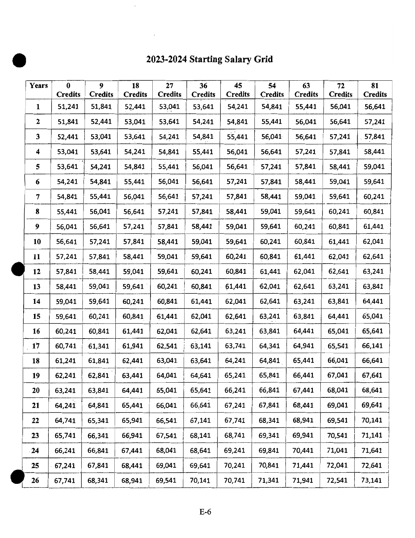## 2023-2024 Starting Salary Grid

| Years          | $\bf{0}$<br><b>Credits</b> | 9<br><b>Credits</b> | 18<br><b>Credits</b> | 27<br><b>Credits</b> | 36<br><b>Credits</b> | 45<br><b>Credits</b> | 54<br><b>Credits</b> | 63<br><b>Credits</b> | 72<br><b>Credits</b> | 81<br><b>Credits</b> |
|----------------|----------------------------|---------------------|----------------------|----------------------|----------------------|----------------------|----------------------|----------------------|----------------------|----------------------|
| $\mathbf{1}$   | 51,241                     | 51,841              | 52,441               | $-53,041$            | 53,641               | 54,241               | 54,841               | 55,441               | 56,041               | 56,641               |
| $\mathbf{2}$   | 51,841                     | 52,441              | 53,041               | 53,641               | 54,241               | 54,841               | 55,441               | 56,041               | 56,641               | 57,241               |
| 3              | 52,441                     | 53,041              | 53,641               | 54,241               | 54,841               | 55,441               | 56,041               | 56,641               | 57,241               | 57,841               |
| 4              | 53,041                     | 53,641              | 54,241               | 54,841               | 55,441               | 56,041               | 56,641               | 57,241               | 57,841               | 58,441               |
| 5              | 53,641                     | 54,241              | 54,841               | 55,441               | 56,041               | 56,641               | 57,241               | 57,841               | 58,441               | 59,041               |
| 6              | 54,241                     | 54,841              | 55,441               | 56,041               | 56,641               | 57,241               | 57,841               | 58,441               | 59,041               | 59,641               |
| $\overline{7}$ | 54,841                     | 55,441              | 56,041               | 56,641               | 57,241               | 57,841               | 58,441               | 59,041               | 59,641               | 60,241               |
| 8              | 55,441                     | 56,041              | 56,641               | 57,241               | 57,841               | 58,441               | 59,041               | 59,641               | 60,241               | 60,841               |
| 9              | 56,041                     | 56,641              | 57,241               | 57,841               | 58,441               | 59,041               | 59,641               | 60,241               | 60,841               | 61,441               |
| 10             | 56,641                     | 57,241              | 57,841               | 58,441               | 59,041               | 59,641               | 60,241               | 60,841               | 61,441               | 62,041               |
| 11             | 57,241                     | 57,841              | 58,441               | 59,041               | 59,641               | 60,241               | 60,841               | 61,441               | 62,041               | 62,641               |
| 12             | 57,841                     | 58,441              | 59,041               | 59,641               | 60,241               | 60,841               | 61,441               | 62,041               | 62,641               | 63,241               |
| 13             | 58,441                     | 59,041              | 59,641               | 60,241               | 60,841               | 61,441               | 62,041               | 62,641               | 63,241               | 63,841               |
| 14             | 59,041                     | 59,641              | 60,241               | 60,841               | 61,441               | 62,041               | 62,641               | 63,241               | 63,841               | 64,441               |
| 15             | 59,641                     | 60,241              | 60,841               | 61,441               | 62,041               | 62,641               | 63,241               | 63,841               | 64,441               | 65,041               |
| 16             | 60,241                     | 60,841              | 61,441               | 62,041               | 62,641               | 63,241               | 63,841               | 64,441               | 65,041               | 65,641               |
| 17             | 60,741                     | 61,341              | 61,941               | 62,541               | 63,141               | 63,741               | 64,341               | 64,941               | 65,541               | 66,141               |
| 18             | 61,241                     | 61,841              | 62,441               | 63,041               | 63,641               | 64,241               | 64,841               | 65,441               | 66,041               | 66,641               |
| 19             | 62,241                     | 62,841              | 63,441               | 64,041               | 64,641               | 65,241               | 65,841               | 66,441               | 67,041               | 67,641               |
| 20             | 63,241                     | 63,841              | 64,441               | 65,041               | 65,641               | 66,241               | 66,841               | 67,441               | 68,041               | 68,641               |
| 21             | 64,241                     | 64,841              | 65,441               | 66,041               | 66,641               | 67,241               | 67,841               | 68,441               | 69,041               | 69,641               |
| 22             | 64,741                     | 65,341              | 65,941               | 66,541               | 67,141               | 67,741               | 68,341               | 68,941               | 69,541               | 70,141               |
| 23             | 65,741                     | 66,341              | 66,941               | 67,541               | 68,141               | 68,741               | 69,341               | 69,941               | 70,541               | 71,141               |
| 24             | 66,241                     | 66,841              | 67,441               | 68,041               | 68,641               | 69,241               | 69,841               | 70,441               | 71,041               | 71,641               |
| 25             | 67,241                     | 67,841              | 68,441               | 69,041               | 69,641               | 70,241               | 70,841               | 71,441               | 72,041               | 72,641               |
| 26             | 67,741                     | 68,341              | 68,941               | 69,541               | 70,141               | 70,741               | 71,341               | 71,941               | 72,541               | 73,141               |